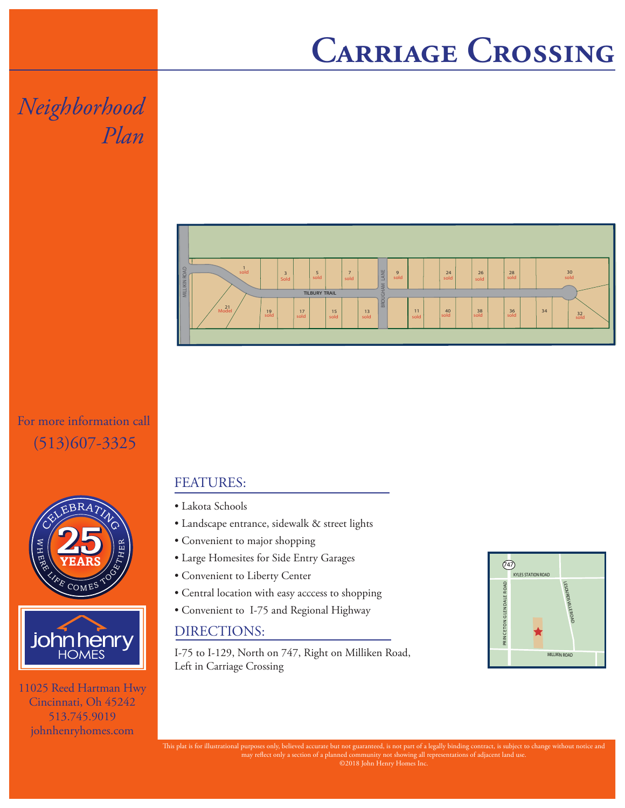## **Carriage Crossing**

## *Neighborhood Plan*

For more information call (513)607-3325





11025 Reed Hartman Hwy Cincinnati, Oh 45242 513.745.9019 johnhenryhomes.com



## FEATURES:

- Lakota Schools
- Landscape entrance, sidewalk & street lights
- Convenient to major shopping
- Large Homesites for Side Entry Garages
- Convenient to Liberty Center
- Central location with easy acccess to shopping
- Convenient to I-75 and Regional Highway

## DIRECTIONS:

I-75 to I-129, North on 747, Right on Milliken Road, Left in Carriage Crossing



This plat is for illustrational purposes only, believed accurate but not guaranteed, is not part of a legally binding contract, is subject to change without notice and may reflect only a section of a planned community not showing all representations of adjacent land use. ©2018 John Henry Homes Inc.